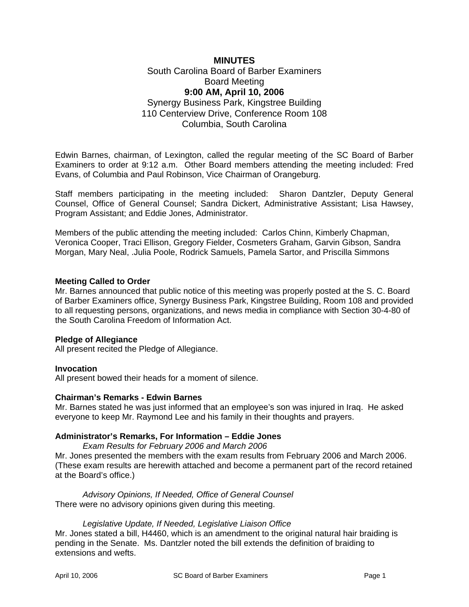## **MINUTES**  South Carolina Board of Barber Examiners Board Meeting **9:00 AM, April 10, 2006**  Synergy Business Park, Kingstree Building 110 Centerview Drive, Conference Room 108 Columbia, South Carolina

Edwin Barnes, chairman, of Lexington, called the regular meeting of the SC Board of Barber Examiners to order at 9:12 a.m. Other Board members attending the meeting included: Fred Evans, of Columbia and Paul Robinson, Vice Chairman of Orangeburg.

Staff members participating in the meeting included: Sharon Dantzler, Deputy General Counsel, Office of General Counsel; Sandra Dickert, Administrative Assistant; Lisa Hawsey, Program Assistant; and Eddie Jones, Administrator.

Members of the public attending the meeting included: Carlos Chinn, Kimberly Chapman, Veronica Cooper, Traci Ellison, Gregory Fielder, Cosmeters Graham, Garvin Gibson, Sandra Morgan, Mary Neal, .Julia Poole, Rodrick Samuels, Pamela Sartor, and Priscilla Simmons

### **Meeting Called to Order**

Mr. Barnes announced that public notice of this meeting was properly posted at the S. C. Board of Barber Examiners office, Synergy Business Park, Kingstree Building, Room 108 and provided to all requesting persons, organizations, and news media in compliance with Section 30-4-80 of the South Carolina Freedom of Information Act.

### **Pledge of Allegiance**

All present recited the Pledge of Allegiance.

### **Invocation**

All present bowed their heads for a moment of silence.

### **Chairman's Remarks - Edwin Barnes**

Mr. Barnes stated he was just informed that an employee's son was injured in Iraq. He asked everyone to keep Mr. Raymond Lee and his family in their thoughts and prayers.

### **Administrator's Remarks, For Information – Eddie Jones**

*Exam Results for February 2006 and March 2006* Mr. Jones presented the members with the exam results from February 2006 and March 2006.

(These exam results are herewith attached and become a permanent part of the record retained at the Board's office.)

*Advisory Opinions, If Needed, Office of General Counsel*  There were no advisory opinions given during this meeting.

#### *Legislative Update, If Needed, Legislative Liaison Office*

Mr. Jones stated a bill, H4460, which is an amendment to the original natural hair braiding is pending in the Senate. Ms. Dantzler noted the bill extends the definition of braiding to extensions and wefts.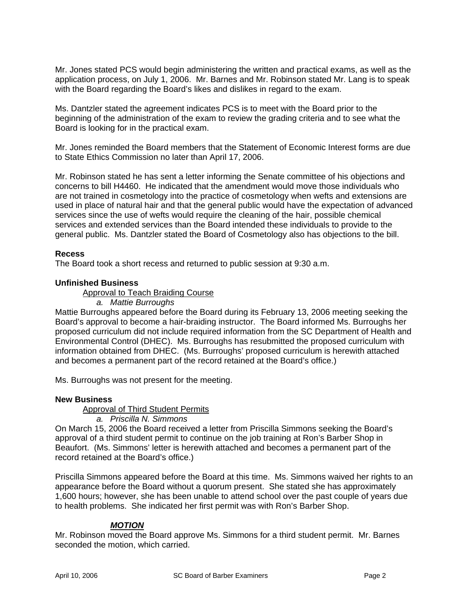Mr. Jones stated PCS would begin administering the written and practical exams, as well as the application process, on July 1, 2006. Mr. Barnes and Mr. Robinson stated Mr. Lang is to speak with the Board regarding the Board's likes and dislikes in regard to the exam.

Ms. Dantzler stated the agreement indicates PCS is to meet with the Board prior to the beginning of the administration of the exam to review the grading criteria and to see what the Board is looking for in the practical exam.

Mr. Jones reminded the Board members that the Statement of Economic Interest forms are due to State Ethics Commission no later than April 17, 2006.

Mr. Robinson stated he has sent a letter informing the Senate committee of his objections and concerns to bill H4460. He indicated that the amendment would move those individuals who are not trained in cosmetology into the practice of cosmetology when wefts and extensions are used in place of natural hair and that the general public would have the expectation of advanced services since the use of wefts would require the cleaning of the hair, possible chemical services and extended services than the Board intended these individuals to provide to the general public. Ms. Dantzler stated the Board of Cosmetology also has objections to the bill.

### **Recess**

The Board took a short recess and returned to public session at 9:30 a.m.

### **Unfinished Business**

Approval to Teach Braiding Course

*a. Mattie Burroughs* 

Mattie Burroughs appeared before the Board during its February 13, 2006 meeting seeking the Board's approval to become a hair-braiding instructor. The Board informed Ms. Burroughs her proposed curriculum did not include required information from the SC Department of Health and Environmental Control (DHEC). Ms. Burroughs has resubmitted the proposed curriculum with information obtained from DHEC. (Ms. Burroughs' proposed curriculum is herewith attached and becomes a permanent part of the record retained at the Board's office.)

Ms. Burroughs was not present for the meeting.

### **New Business**

Approval of Third Student Permits

### *a. Priscilla N. Simmons*

On March 15, 2006 the Board received a letter from Priscilla Simmons seeking the Board's approval of a third student permit to continue on the job training at Ron's Barber Shop in Beaufort. (Ms. Simmons' letter is herewith attached and becomes a permanent part of the record retained at the Board's office.)

Priscilla Simmons appeared before the Board at this time. Ms. Simmons waived her rights to an appearance before the Board without a quorum present. She stated she has approximately 1,600 hours; however, she has been unable to attend school over the past couple of years due to health problems. She indicated her first permit was with Ron's Barber Shop.

### *MOTION*

Mr. Robinson moved the Board approve Ms. Simmons for a third student permit. Mr. Barnes seconded the motion, which carried.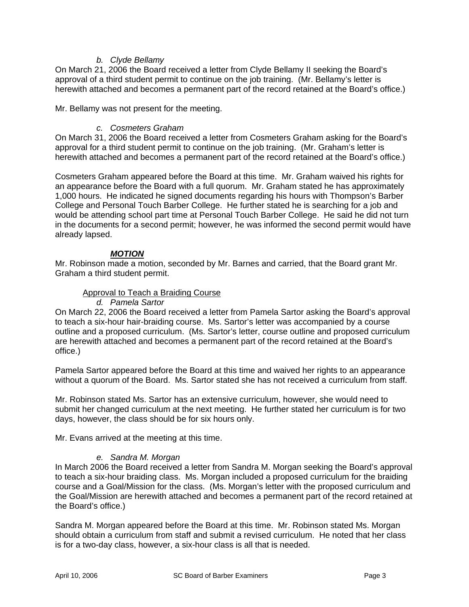### *b. Clyde Bellamy*

On March 21, 2006 the Board received a letter from Clyde Bellamy II seeking the Board's approval of a third student permit to continue on the job training. (Mr. Bellamy's letter is herewith attached and becomes a permanent part of the record retained at the Board's office.)

Mr. Bellamy was not present for the meeting.

### *c. Cosmeters Graham*

On March 31, 2006 the Board received a letter from Cosmeters Graham asking for the Board's approval for a third student permit to continue on the job training. (Mr. Graham's letter is herewith attached and becomes a permanent part of the record retained at the Board's office.)

Cosmeters Graham appeared before the Board at this time. Mr. Graham waived his rights for an appearance before the Board with a full quorum. Mr. Graham stated he has approximately 1,000 hours. He indicated he signed documents regarding his hours with Thompson's Barber College and Personal Touch Barber College. He further stated he is searching for a job and would be attending school part time at Personal Touch Barber College. He said he did not turn in the documents for a second permit; however, he was informed the second permit would have already lapsed.

### *MOTION*

Mr. Robinson made a motion, seconded by Mr. Barnes and carried, that the Board grant Mr. Graham a third student permit.

### Approval to Teach a Braiding Course

*d. Pamela Sartor* 

On March 22, 2006 the Board received a letter from Pamela Sartor asking the Board's approval to teach a six-hour hair-braiding course. Ms. Sartor's letter was accompanied by a course outline and a proposed curriculum. (Ms. Sartor's letter, course outline and proposed curriculum are herewith attached and becomes a permanent part of the record retained at the Board's office.)

Pamela Sartor appeared before the Board at this time and waived her rights to an appearance without a quorum of the Board. Ms. Sartor stated she has not received a curriculum from staff.

Mr. Robinson stated Ms. Sartor has an extensive curriculum, however, she would need to submit her changed curriculum at the next meeting. He further stated her curriculum is for two days, however, the class should be for six hours only.

Mr. Evans arrived at the meeting at this time.

### *e. Sandra M. Morgan*

In March 2006 the Board received a letter from Sandra M. Morgan seeking the Board's approval to teach a six-hour braiding class. Ms. Morgan included a proposed curriculum for the braiding course and a Goal/Mission for the class. (Ms. Morgan's letter with the proposed curriculum and the Goal/Mission are herewith attached and becomes a permanent part of the record retained at the Board's office.)

Sandra M. Morgan appeared before the Board at this time. Mr. Robinson stated Ms. Morgan should obtain a curriculum from staff and submit a revised curriculum. He noted that her class is for a two-day class, however, a six-hour class is all that is needed.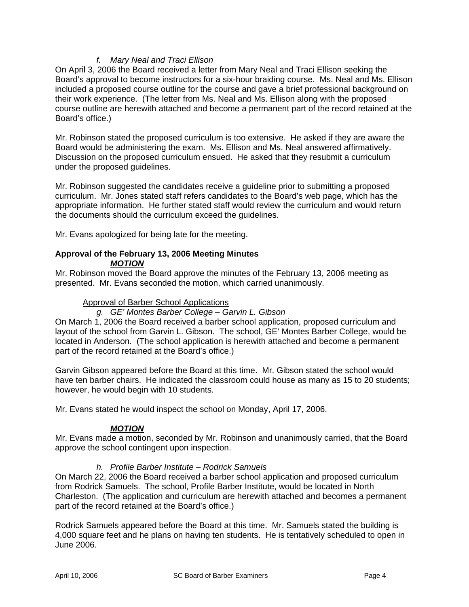# *f. Mary Neal and Traci Ellison*

On April 3, 2006 the Board received a letter from Mary Neal and Traci Ellison seeking the Board's approval to become instructors for a six-hour braiding course. Ms. Neal and Ms. Ellison included a proposed course outline for the course and gave a brief professional background on their work experience. (The letter from Ms. Neal and Ms. Ellison along with the proposed course outline are herewith attached and become a permanent part of the record retained at the Board's office.)

Mr. Robinson stated the proposed curriculum is too extensive. He asked if they are aware the Board would be administering the exam. Ms. Ellison and Ms. Neal answered affirmatively. Discussion on the proposed curriculum ensued. He asked that they resubmit a curriculum under the proposed guidelines.

Mr. Robinson suggested the candidates receive a guideline prior to submitting a proposed curriculum. Mr. Jones stated staff refers candidates to the Board's web page, which has the appropriate information. He further stated staff would review the curriculum and would return the documents should the curriculum exceed the guidelines.

Mr. Evans apologized for being late for the meeting.

#### **Approval of the February 13, 2006 Meeting Minutes**  *MOTION*

Mr. Robinson moved the Board approve the minutes of the February 13, 2006 meeting as presented. Mr. Evans seconded the motion, which carried unanimously.

### Approval of Barber School Applications

*g. GE' Montes Barber College – Garvin L. Gibson* 

On March 1, 2006 the Board received a barber school application, proposed curriculum and layout of the school from Garvin L. Gibson. The school, GE' Montes Barber College, would be located in Anderson. (The school application is herewith attached and become a permanent part of the record retained at the Board's office.)

Garvin Gibson appeared before the Board at this time. Mr. Gibson stated the school would have ten barber chairs. He indicated the classroom could house as many as 15 to 20 students; however, he would begin with 10 students.

Mr. Evans stated he would inspect the school on Monday, April 17, 2006.

### *MOTION*

Mr. Evans made a motion, seconded by Mr. Robinson and unanimously carried, that the Board approve the school contingent upon inspection.

### *h. Profile Barber Institute – Rodrick Samuels*

On March 22, 2006 the Board received a barber school application and proposed curriculum from Rodrick Samuels. The school, Profile Barber Institute, would be located in North Charleston. (The application and curriculum are herewith attached and becomes a permanent part of the record retained at the Board's office.)

Rodrick Samuels appeared before the Board at this time. Mr. Samuels stated the building is 4,000 square feet and he plans on having ten students. He is tentatively scheduled to open in June 2006.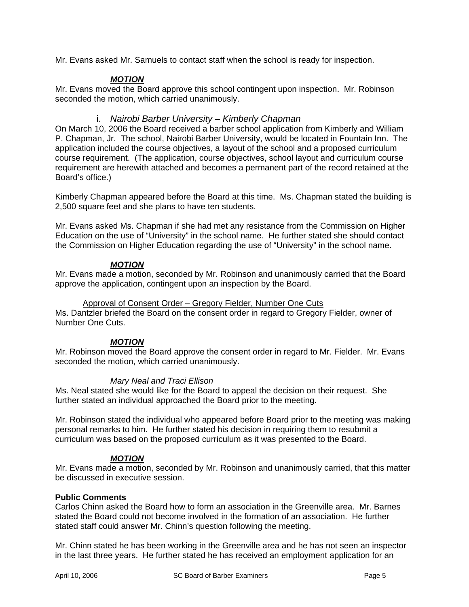Mr. Evans asked Mr. Samuels to contact staff when the school is ready for inspection.

# *MOTION*

Mr. Evans moved the Board approve this school contingent upon inspection. Mr. Robinson seconded the motion, which carried unanimously.

### i. *Nairobi Barber University – Kimberly Chapman*

On March 10, 2006 the Board received a barber school application from Kimberly and William P. Chapman, Jr. The school, Nairobi Barber University, would be located in Fountain Inn. The application included the course objectives, a layout of the school and a proposed curriculum course requirement. (The application, course objectives, school layout and curriculum course requirement are herewith attached and becomes a permanent part of the record retained at the Board's office.)

Kimberly Chapman appeared before the Board at this time. Ms. Chapman stated the building is 2,500 square feet and she plans to have ten students.

Mr. Evans asked Ms. Chapman if she had met any resistance from the Commission on Higher Education on the use of "University" in the school name. He further stated she should contact the Commission on Higher Education regarding the use of "University" in the school name.

### *MOTION*

Mr. Evans made a motion, seconded by Mr. Robinson and unanimously carried that the Board approve the application, contingent upon an inspection by the Board.

### Approval of Consent Order – Gregory Fielder, Number One Cuts

Ms. Dantzler briefed the Board on the consent order in regard to Gregory Fielder, owner of Number One Cuts.

### *MOTION*

Mr. Robinson moved the Board approve the consent order in regard to Mr. Fielder. Mr. Evans seconded the motion, which carried unanimously.

### *Mary Neal and Traci Ellison*

Ms. Neal stated she would like for the Board to appeal the decision on their request. She further stated an individual approached the Board prior to the meeting.

Mr. Robinson stated the individual who appeared before Board prior to the meeting was making personal remarks to him. He further stated his decision in requiring them to resubmit a curriculum was based on the proposed curriculum as it was presented to the Board.

### *MOTION*

Mr. Evans made a motion, seconded by Mr. Robinson and unanimously carried, that this matter be discussed in executive session.

### **Public Comments**

Carlos Chinn asked the Board how to form an association in the Greenville area. Mr. Barnes stated the Board could not become involved in the formation of an association. He further stated staff could answer Mr. Chinn's question following the meeting.

Mr. Chinn stated he has been working in the Greenville area and he has not seen an inspector in the last three years. He further stated he has received an employment application for an